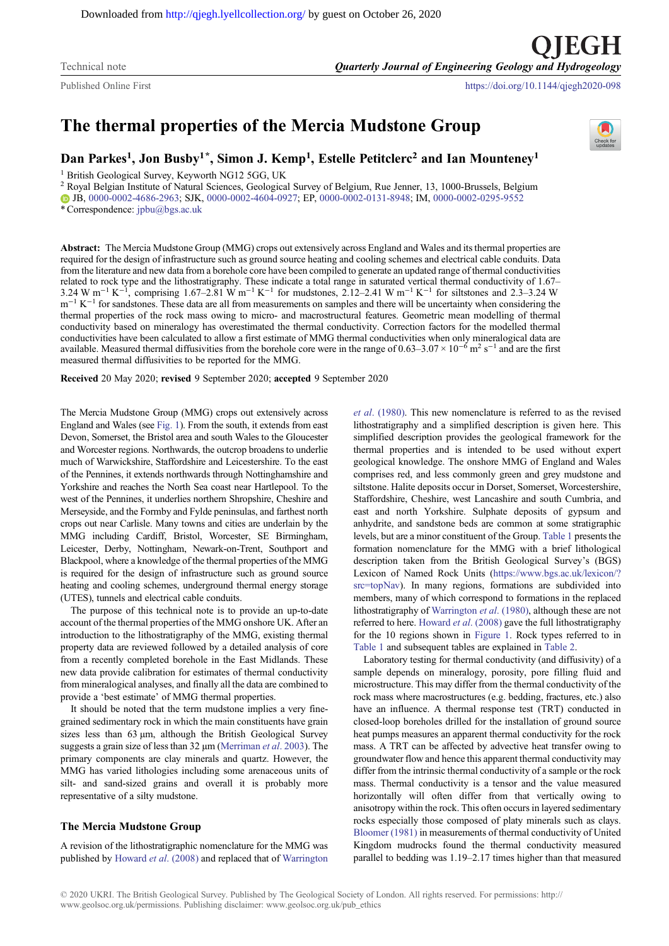Downloaded from<http://qjegh.lyellcollection.org/>by guest on October 26, 2020

Published Online First <https://doi.org/10.1144/qjegh2020-098>

# The thermal properties of the Mercia Mudstone Group

# Dan Parkes<sup>1</sup>, Jon Busby<sup>1\*</sup>, Simon J. Kemp<sup>1</sup>, Estelle Petitclerc<sup>2</sup> and Ian Mounteney<sup>1</sup>

<sup>1</sup> British Geological Survey, Keyworth NG12 5GG, UK

<sup>2</sup> Royal Belgian Institute of Natural Sciences, Geological Survey of Belgium, Rue Jenner, 13, 1000-Brussels, Belgium JB, [0000-0002-4686-2963;](http://orcid.org/0000-0002-4686-2963) SJK, [0000-0002-4604-0927;](http://orcid.org/0000-0002-4604-0927) EP, [0000-0002-0131-8948](http://orcid.org/0000-0002-0131-8948); IM, [0000-0002-0295-9552](http://orcid.org/0000-0002-0295-9552) \* Correspondence: [jpbu@bgs.ac.uk](mailto:jpbu@bgs.ac.uk)

Abstract: The Mercia Mudstone Group (MMG) crops out extensively across England and Wales and its thermal properties are required for the design of infrastructure such as ground source heating and cooling schemes and electrical cable conduits. Data from the literature and new data from a borehole core have been compiled to generate an updated range of thermal conductivities related to rock type and the lithostratigraphy. These indicate a total range in saturated vertical thermal conductivity of 1.67– 3.24 W m<sup>-1</sup> K<sup>-1</sup>, comprising 1.67–2.81 W m<sup>-1</sup> K<sup>-1</sup> for mudstones, 2.12–2.41 W m<sup>-1</sup> K<sup>-1</sup> for siltstones and 2.3–3.24 W  $m^{-1} K^{-1}$  for sandstones. These data are all from measurements on samples and there will be uncertainty when considering the thermal properties of the rock mass owing to micro- and macrostructural features. Geometric mean modelling of thermal conductivity based on mineralogy has overestimated the thermal conductivity. Correction factors for the modelled thermal conductivities have been calculated to allow a first estimate of MMG thermal conductivities when only mineralogical data are available. Measured thermal diffusivities from the borehole core were in the range of  $0.63-3.07 \times 10^{-6}$  m<sup>2</sup> s<sup>-1</sup> and are the first measured thermal diffusivities to be reported for the MMG.

Received 20 May 2020; revised 9 September 2020; accepted 9 September 2020

The Mercia Mudstone Group (MMG) crops out extensively across England and Wales (see [Fig. 1](#page-1-0)). From the south, it extends from east Devon, Somerset, the Bristol area and south Wales to the Gloucester and Worcester regions. Northwards, the outcrop broadens to underlie much of Warwickshire, Staffordshire and Leicestershire. To the east of the Pennines, it extends northwards through Nottinghamshire and Yorkshire and reaches the North Sea coast near Hartlepool. To the west of the Pennines, it underlies northern Shropshire, Cheshire and Merseyside, and the Formby and Fylde peninsulas, and farthest north crops out near Carlisle. Many towns and cities are underlain by the MMG including Cardiff, Bristol, Worcester, SE Birmingham, Leicester, Derby, Nottingham, Newark-on-Trent, Southport and Blackpool, where a knowledge of the thermal properties of the MMG is required for the design of infrastructure such as ground source heating and cooling schemes, underground thermal energy storage (UTES), tunnels and electrical cable conduits.

The purpose of this technical note is to provide an up-to-date account of the thermal properties of the MMG onshore UK. After an introduction to the lithostratigraphy of the MMG, existing thermal property data are reviewed followed by a detailed analysis of core from a recently completed borehole in the East Midlands. These new data provide calibration for estimates of thermal conductivity from mineralogical analyses, and finally all the data are combined to provide a 'best estimate' of MMG thermal properties.

It should be noted that the term mudstone implies a very finegrained sedimentary rock in which the main constituents have grain sizes less than  $63 \mu m$ , although the British Geological Survey suggests a grain size of less than  $32 \mu m$  [\(Merriman](#page-9-0) *et al.* 2003). The primary components are clay minerals and quartz. However, the MMG has varied lithologies including some arenaceous units of silt- and sand-sized grains and overall it is probably more representative of a silty mudstone.

# The Mercia Mudstone Group

A revision of the lithostratigraphic nomenclature for the MMG was published by [Howard](#page-9-0) et al. (2008) and replaced that of [Warrington](#page-9-0) et al[. \(1980\)](#page-9-0). This new nomenclature is referred to as the revised lithostratigraphy and a simplified description is given here. This simplified description provides the geological framework for the thermal properties and is intended to be used without expert geological knowledge. The onshore MMG of England and Wales comprises red, and less commonly green and grey mudstone and siltstone. Halite deposits occur in Dorset, Somerset, Worcestershire, Staffordshire, Cheshire, west Lancashire and south Cumbria, and east and north Yorkshire. Sulphate deposits of gypsum and anhydrite, and sandstone beds are common at some stratigraphic levels, but are a minor constituent of the Group. [Table 1](#page-2-0) presents the formation nomenclature for the MMG with a brief lithological description taken from the British Geological Survey's (BGS) Lexicon of Named Rock Units [\(https://www.bgs.ac.uk/lexicon/?](https://www.bgs.ac.uk/lexicon/?src=topNav) [src=topNav\)](https://www.bgs.ac.uk/lexicon/?src=topNav). In many regions, formations are subdivided into members, many of which correspond to formations in the replaced lithostratigraphy of [Warrington](#page-9-0) et al. (1980), although these are not referred to here. Howard et al[. \(2008\)](#page-9-0) gave the full lithostratigraphy for the 10 regions shown in [Figure 1.](#page-1-0) Rock types referred to in [Table 1](#page-2-0) and subsequent tables are explained in [Table 2.](#page-2-0)

Laboratory testing for thermal conductivity (and diffusivity) of a sample depends on mineralogy, porosity, pore filling fluid and microstructure. This may differ from the thermal conductivity of the rock mass where macrostructures (e.g. bedding, fractures, etc.) also have an influence. A thermal response test (TRT) conducted in closed-loop boreholes drilled for the installation of ground source heat pumps measures an apparent thermal conductivity for the rock mass. A TRT can be affected by advective heat transfer owing to groundwater flow and hence this apparent thermal conductivity may differ from the intrinsic thermal conductivity of a sample or the rock mass. Thermal conductivity is a tensor and the value measured horizontally will often differ from that vertically owing to anisotropy within the rock. This often occurs in layered sedimentary rocks especially those composed of platy minerals such as clays. [Bloomer \(1981\)](#page-9-0) in measurements of thermal conductivity of United Kingdom mudrocks found the thermal conductivity measured parallel to bedding was 1.19–2.17 times higher than that measured



TEGH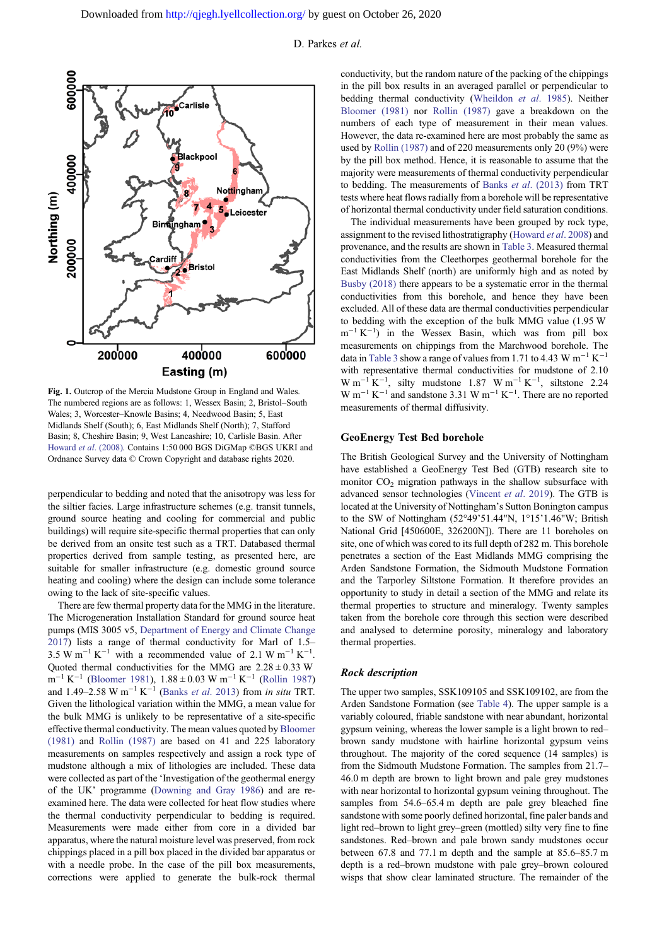<span id="page-1-0"></span>

Fig. 1. Outcrop of the Mercia Mudstone Group in England and Wales. The numbered regions are as follows: 1, Wessex Basin; 2, Bristol–South Wales; 3, Worcester–Knowle Basins; 4, Needwood Basin; 5, East Midlands Shelf (South); 6, East Midlands Shelf (North); 7, Stafford Basin; 8, Cheshire Basin; 9, West Lancashire; 10, Carlisle Basin. After Howard et al[. \(2008\)](#page-9-0). Contains 1:50 000 BGS DiGMap ©BGS UKRI and Ordnance Survey data © Crown Copyright and database rights 2020.

perpendicular to bedding and noted that the anisotropy was less for the siltier facies. Large infrastructure schemes (e.g. transit tunnels, ground source heating and cooling for commercial and public buildings) will require site-specific thermal properties that can only be derived from an onsite test such as a TRT. Databased thermal properties derived from sample testing, as presented here, are suitable for smaller infrastructure (e.g. domestic ground source heating and cooling) where the design can include some tolerance owing to the lack of site-specific values.

There are few thermal property data for the MMG in the literature. The Microgeneration Installation Standard for ground source heat pumps (MIS 3005 v5, [Department of Energy and Climate Change](#page-9-0) [2017](#page-9-0)) lists a range of thermal conductivity for Marl of 1.5– 3.5 W m<sup>-1</sup> K<sup>-1</sup> with a recommended value of 2.1 W m<sup>-1</sup> K<sup>-1</sup>. Quoted thermal conductivities for the MMG are  $2.28 \pm 0.33$  W m−<sup>1</sup> K−<sup>1</sup> ([Bloomer 1981\)](#page-9-0), 1.88 ± 0.03 W m−<sup>1</sup> K−<sup>1</sup> ([Rollin 1987\)](#page-9-0) and 1.49–2.58 W m<sup>-1</sup> K<sup>-1</sup> (Banks et al[. 2013](#page-9-0)) from in situ TRT. Given the lithological variation within the MMG, a mean value for the bulk MMG is unlikely to be representative of a site-specific effective thermal conductivity. The mean values quoted by [Bloomer](#page-9-0) [\(1981\)](#page-9-0) and [Rollin \(1987\)](#page-9-0) are based on 41 and 225 laboratory measurements on samples respectively and assign a rock type of mudstone although a mix of lithologies are included. These data were collected as part of the 'Investigation of the geothermal energy of the UK' programme [\(Downing and Gray 1986\)](#page-9-0) and are reexamined here. The data were collected for heat flow studies where the thermal conductivity perpendicular to bedding is required. Measurements were made either from core in a divided bar apparatus, where the natural moisture level was preserved, from rock chippings placed in a pill box placed in the divided bar apparatus or with a needle probe. In the case of the pill box measurements, corrections were applied to generate the bulk-rock thermal

conductivity, but the random nature of the packing of the chippings in the pill box results in an averaged parallel or perpendicular to bedding thermal conductivity [\(Wheildon](#page-9-0) et al. 1985). Neither [Bloomer \(1981\)](#page-9-0) nor [Rollin \(1987\)](#page-9-0) gave a breakdown on the numbers of each type of measurement in their mean values. However, the data re-examined here are most probably the same as used by [Rollin \(1987\)](#page-9-0) and of 220 measurements only 20 (9%) were by the pill box method. Hence, it is reasonable to assume that the majority were measurements of thermal conductivity perpendicular to bedding. The measurements of Banks et al[. \(2013\)](#page-9-0) from TRT tests where heat flows radially from a borehole will be representative of horizontal thermal conductivity under field saturation conditions.

The individual measurements have been grouped by rock type, assignment to the revised lithostratigraphy [\(Howard](#page-9-0) et al. 2008) and provenance, and the results are shown in [Table 3](#page-2-0). Measured thermal conductivities from the Cleethorpes geothermal borehole for the East Midlands Shelf (north) are uniformly high and as noted by [Busby \(2018\)](#page-9-0) there appears to be a systematic error in the thermal conductivities from this borehole, and hence they have been excluded. All of these data are thermal conductivities perpendicular to bedding with the exception of the bulk MMG value (1.95 W m<sup>-1</sup> K<sup>-1</sup>) in the Wessex Basin, which was from pill box measurements on chippings from the Marchwood borehole. The data in [Table 3](#page-2-0) show a range of values from 1.71 to 4.43 W  $m^{-1} K^{-1}$ with representative thermal conductivities for mudstone of 2.10 W m<sup>-1</sup> K<sup>-1</sup>, silty mudstone 1.87 W m<sup>-1</sup> K<sup>-1</sup>, siltstone 2.24  $W$  m<sup>-1</sup> K<sup>-1</sup> and sandstone 3.31 W m<sup>-1</sup> K<sup>-1</sup>. There are no reported measurements of thermal diffusivity.

# GeoEnergy Test Bed borehole

The British Geological Survey and the University of Nottingham have established a GeoEnergy Test Bed (GTB) research site to monitor  $CO<sub>2</sub>$  migration pathways in the shallow subsurface with advanced sensor technologies [\(Vincent](#page-9-0) et al. 2019). The GTB is located at the University of Nottingham's Sutton Bonington campus to the SW of Nottingham (52°49'51.44"N, 1°15'1.46"W; British National Grid [450600E, 326200N]). There are 11 boreholes on site, one of which was cored to its full depth of 282 m. This borehole penetrates a section of the East Midlands MMG comprising the Arden Sandstone Formation, the Sidmouth Mudstone Formation and the Tarporley Siltstone Formation. It therefore provides an opportunity to study in detail a section of the MMG and relate its thermal properties to structure and mineralogy. Twenty samples taken from the borehole core through this section were described and analysed to determine porosity, mineralogy and laboratory thermal properties.

# Rock description

The upper two samples, SSK109105 and SSK109102, are from the Arden Sandstone Formation (see [Table 4](#page-3-0)). The upper sample is a variably coloured, friable sandstone with near abundant, horizontal gypsum veining, whereas the lower sample is a light brown to red– brown sandy mudstone with hairline horizontal gypsum veins throughout. The majority of the cored sequence (14 samples) is from the Sidmouth Mudstone Formation. The samples from 21.7– 46.0 m depth are brown to light brown and pale grey mudstones with near horizontal to horizontal gypsum veining throughout. The samples from 54.6–65.4 m depth are pale grey bleached fine sandstone with some poorly defined horizontal, fine paler bands and light red–brown to light grey–green (mottled) silty very fine to fine sandstones. Red–brown and pale brown sandy mudstones occur between 67.8 and 77.1 m depth and the sample at 85.6–85.7 m depth is a red–brown mudstone with pale grey–brown coloured wisps that show clear laminated structure. The remainder of the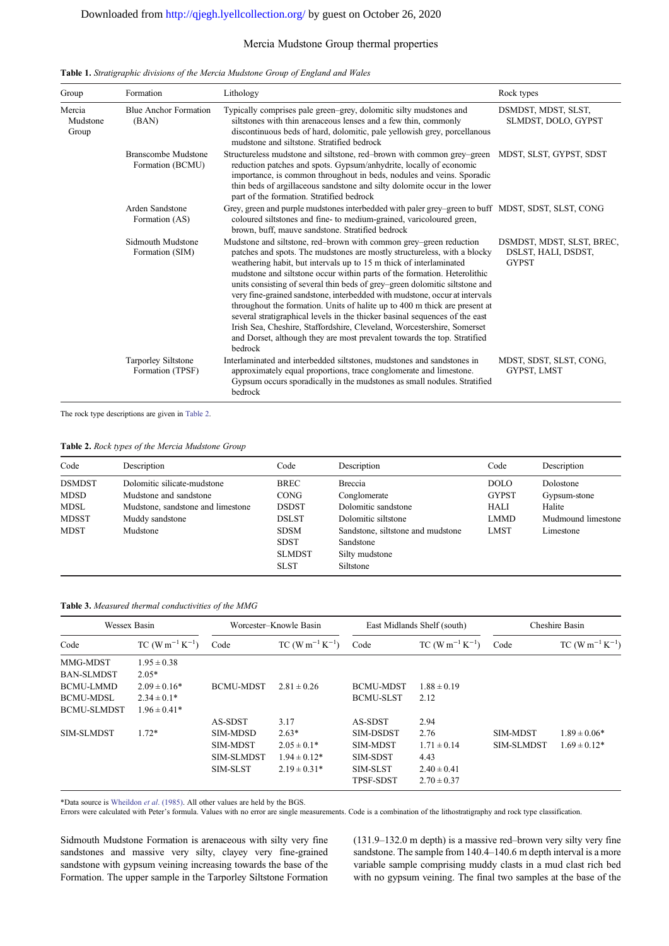# Mercia Mudstone Group thermal properties

| Group                       | Formation                               | Lithology                                                                                                                                                                                                                                                                                                                                                                                                                                                                                                                                                                                                                                                                                                                                                                                    | Rock types                                                       |
|-----------------------------|-----------------------------------------|----------------------------------------------------------------------------------------------------------------------------------------------------------------------------------------------------------------------------------------------------------------------------------------------------------------------------------------------------------------------------------------------------------------------------------------------------------------------------------------------------------------------------------------------------------------------------------------------------------------------------------------------------------------------------------------------------------------------------------------------------------------------------------------------|------------------------------------------------------------------|
| Mercia<br>Mudstone<br>Group | <b>Blue Anchor Formation</b><br>(BAN)   | Typically comprises pale green-grey, dolomitic silty mudstones and<br>siltstones with thin arenaceous lenses and a few thin, commonly<br>discontinuous beds of hard, dolomitic, pale yellowish grey, porcellanous<br>mudstone and siltstone. Stratified bedrock                                                                                                                                                                                                                                                                                                                                                                                                                                                                                                                              | DSMDST, MDST, SLST,<br>SLMDST, DOLO, GYPST                       |
|                             | Branscombe Mudstone<br>Formation (BCMU) | Structureless mudstone and siltstone, red-brown with common grey-green<br>reduction patches and spots. Gypsum/anhydrite, locally of economic<br>importance, is common throughout in beds, nodules and veins. Sporadic<br>thin beds of argillaceous sandstone and silty dolomite occur in the lower<br>part of the formation. Stratified bedrock                                                                                                                                                                                                                                                                                                                                                                                                                                              | MDST, SLST, GYPST, SDST                                          |
|                             | Arden Sandstone<br>Formation (AS)       | Grey, green and purple mudstones interbedded with paler grey–green to buff MDST, SDST, SLST, CONG<br>coloured siltstones and fine- to medium-grained, varicoloured green,<br>brown, buff, mauve sandstone. Stratified bedrock                                                                                                                                                                                                                                                                                                                                                                                                                                                                                                                                                                |                                                                  |
|                             | Sidmouth Mudstone<br>Formation (SIM)    | Mudstone and siltstone, red-brown with common grey-green reduction<br>patches and spots. The mudstones are mostly structureless, with a blocky<br>weathering habit, but intervals up to 15 m thick of interlaminated<br>mudstone and siltstone occur within parts of the formation. Heterolithic<br>units consisting of several thin beds of grey-green dolomitic siltstone and<br>very fine-grained sandstone, interbedded with mudstone, occur at intervals<br>throughout the formation. Units of halite up to 400 m thick are present at<br>several stratigraphical levels in the thicker basinal sequences of the east<br>Irish Sea, Cheshire, Staffordshire, Cleveland, Worcestershire, Somerset<br>and Dorset, although they are most prevalent towards the top. Stratified<br>bedrock | DSMDST, MDST, SLST, BREC,<br>DSLST, HALI, DSDST,<br><b>GYPST</b> |
|                             | Tarporley Siltstone<br>Formation (TPSF) | Interlaminated and interbedded siltstones, mudstones and sandstones in<br>approximately equal proportions, trace conglomerate and limestone.<br>Gypsum occurs sporadically in the mudstones as small nodules. Stratified<br><b>bedrock</b>                                                                                                                                                                                                                                                                                                                                                                                                                                                                                                                                                   | MDST, SDST, SLST, CONG,<br>GYPST, LMST                           |

<span id="page-2-0"></span>Table 1. Stratigraphic divisions of the Mercia Mudstone Group of England and Wales

The rock type descriptions are given in Table 2.

| Table 2. Rock types of the Mercia Mudstone Group |  |  |  |  |
|--------------------------------------------------|--|--|--|--|
|--------------------------------------------------|--|--|--|--|

| Code                                                                | Description                                                                                                               | Code                                                                                               | Description                                                                                                                               | Code                                                                     | Description                                                            |
|---------------------------------------------------------------------|---------------------------------------------------------------------------------------------------------------------------|----------------------------------------------------------------------------------------------------|-------------------------------------------------------------------------------------------------------------------------------------------|--------------------------------------------------------------------------|------------------------------------------------------------------------|
| <b>DSMDST</b><br><b>MDSD</b><br>MDSL<br><b>MDSST</b><br><b>MDST</b> | Dolomitic silicate-mudstone<br>Mudstone and sandstone<br>Mudstone, sandstone and limestone<br>Muddy sandstone<br>Mudstone | <b>BREC</b><br>CONG<br><b>DSDST</b><br><b>DSLST</b><br><b>SDSM</b><br><b>SDST</b><br><b>SLMDST</b> | Breccia<br>Conglomerate<br>Dolomitic sandstone<br>Dolomitic siltstone<br>Sandstone, siltstone and mudstone<br>Sandstone<br>Silty mudstone | <b>DOLO</b><br><b>GYPST</b><br><b>HALI</b><br><b>LMMD</b><br><b>LMST</b> | Dolostone<br>Gypsum-stone<br>Halite<br>Mudmound limestone<br>Limestone |
|                                                                     |                                                                                                                           | <b>SLST</b>                                                                                        | Siltstone                                                                                                                                 |                                                                          |                                                                        |

Table 3. Measured thermal conductivities of the MMG

| Wessex Basin       |                  |                   | Worcester-Knowle Basin |                  | East Midlands Shelf (south) |                   | Cheshire Basin   |
|--------------------|------------------|-------------------|------------------------|------------------|-----------------------------|-------------------|------------------|
| Code               | $TC (W m-1 K-1)$ | Code              | $TC (W m-1 K-1)$       | Code             | $TC (W m-1 K-1)$            | Code              | $TC (W m-1 K-1)$ |
| MMG-MDST           | $1.95 \pm 0.38$  |                   |                        |                  |                             |                   |                  |
| <b>BAN-SLMDST</b>  | $2.05*$          |                   |                        |                  |                             |                   |                  |
| <b>BCMU-LMMD</b>   | $2.09 \pm 0.16*$ | <b>BCMU-MDST</b>  | $2.81 \pm 0.26$        | <b>BCMU-MDST</b> | $1.88 \pm 0.19$             |                   |                  |
| <b>BCMU-MDSL</b>   | $2.34 \pm 0.1*$  |                   |                        | <b>BCMU-SLST</b> | 2.12                        |                   |                  |
| <b>BCMU-SLMDST</b> | $1.96 \pm 0.41*$ |                   |                        |                  |                             |                   |                  |
|                    |                  | AS-SDST           | 3.17                   | AS-SDST          | 2.94                        |                   |                  |
| SIM-SLMDST         | $1.72*$          | <b>SIM-MDSD</b>   | $2.63*$                | SIM-DSDST        | 2.76                        | <b>SIM-MDST</b>   | $1.89 \pm 0.06*$ |
|                    |                  | <b>SIM-MDST</b>   | $2.05 \pm 0.1*$        | <b>SIM-MDST</b>  | $1.71 \pm 0.14$             | <b>SIM-SLMDST</b> | $1.69 \pm 0.12*$ |
|                    |                  | <b>SIM-SLMDST</b> | $1.94 \pm 0.12*$       | SIM-SDST         | 4.43                        |                   |                  |
|                    |                  | SIM-SLST          | $2.19 \pm 0.31*$       | SIM-SLST         | $2.40 \pm 0.41$             |                   |                  |
|                    |                  |                   |                        | <b>TPSF-SDST</b> | $2.70 \pm 0.37$             |                   |                  |

\*Data source is [Wheildon](#page-9-0) et al. (1985). All other values are held by the BGS.

Errors were calculated with Peter's formula. Values with no error are single measurements. Code is a combination of the lithostratigraphy and rock type classification.

Sidmouth Mudstone Formation is arenaceous with silty very fine sandstones and massive very silty, clayey very fine-grained sandstone with gypsum veining increasing towards the base of the Formation. The upper sample in the Tarporley Siltstone Formation

(131.9–132.0 m depth) is a massive red–brown very silty very fine sandstone. The sample from 140.4–140.6 m depth interval is a more variable sample comprising muddy clasts in a mud clast rich bed with no gypsum veining. The final two samples at the base of the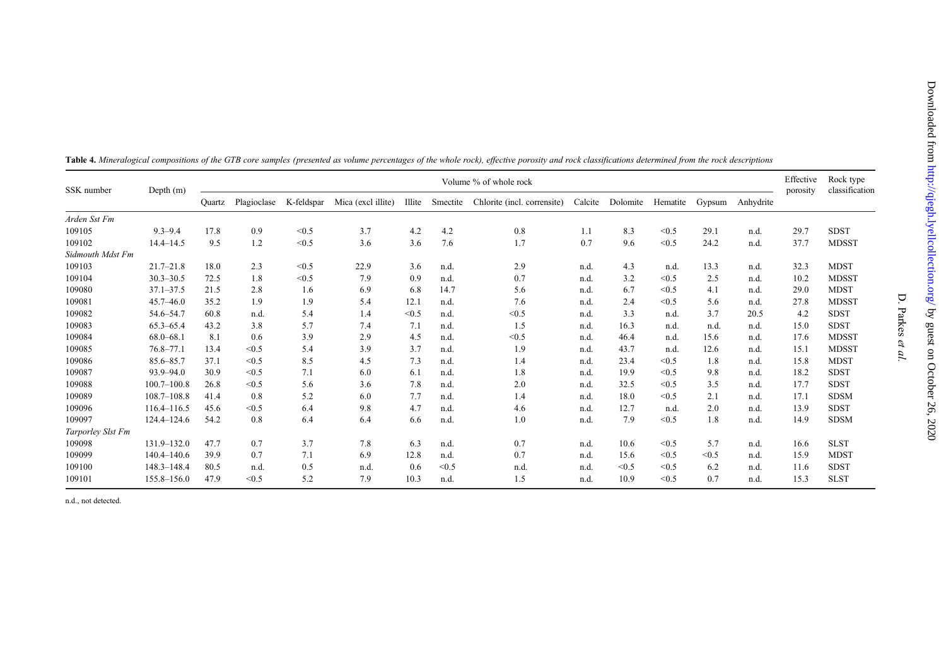| SSK number        | Depth $(m)$     |               |             |            |                    |        |          | Volume % of whole rock      |         |          |          |        |           | Effective<br>porosity | Rock type<br>classification |
|-------------------|-----------------|---------------|-------------|------------|--------------------|--------|----------|-----------------------------|---------|----------|----------|--------|-----------|-----------------------|-----------------------------|
|                   |                 | <b>Ouartz</b> | Plagioclase | K-feldspar | Mica (excl illite) | Illite | Smectite | Chlorite (incl. corrensite) | Calcite | Dolomite | Hematite | Gypsum | Anhydrite |                       |                             |
| Arden Sst Fm      |                 |               |             |            |                    |        |          |                             |         |          |          |        |           |                       |                             |
| 109105            | $9.3 - 9.4$     | 17.8          | 0.9         | < 0.5      | 3.7                | 4.2    | 4.2      | 0.8                         | 1.1     | 8.3      | < 0.5    | 29.1   | n.d.      | 29.7                  | <b>SDST</b>                 |
| 109102            | $14.4 - 14.5$   | 9.5           | 1.2         | < 0.5      | 3.6                | 3.6    | 7.6      | 1.7                         | 0.7     | 9.6      | < 0.5    | 24.2   | n.d.      | 37.7                  | <b>MDSST</b>                |
| Sidmouth Mdst Fm  |                 |               |             |            |                    |        |          |                             |         |          |          |        |           |                       |                             |
| 109103            | $21.7 - 21.8$   | 18.0          | 2.3         | < 0.5      | 22.9               | 3.6    | n.d.     | 2.9                         | n.d.    | 4.3      | n.d.     | 13.3   | n.d.      | 32.3                  | <b>MDST</b>                 |
| 109104            | $30.3 - 30.5$   | 72.5          | 1.8         | < 0.5      | 7.9                | 0.9    | n.d.     | 0.7                         | n.d.    | 3.2      | < 0.5    | 2.5    | n.d.      | 10.2                  | <b>MDSST</b>                |
| 109080            | $37.1 - 37.5$   | 21.5          | 2.8         | 1.6        | 6.9                | 6.8    | 14.7     | 5.6                         | n.d.    | 6.7      | < 0.5    | 4.1    | n.d.      | 29.0                  | <b>MDST</b>                 |
| 109081            | $45.7 - 46.0$   | 35.2          | 1.9         | 1.9        | 5.4                | 12.1   | n.d.     | 7.6                         | n.d.    | 2.4      | < 0.5    | 5.6    | n.d.      | 27.8                  | <b>MDSST</b>                |
| 109082            | 54.6-54.7       | 60.8          | n.d.        | 5.4        | 1.4                | < 0.5  | n.d.     | < 0.5                       | n.d.    | 3.3      | n.d.     | 3.7    | 20.5      | 4.2                   | <b>SDST</b>                 |
| 109083            | $65.3 - 65.4$   | 43.2          | 3.8         | 5.7        | 7.4                | 7.1    | n.d.     | 1.5                         | n.d.    | 16.3     | n.d.     | n.d    | n.d.      | 15.0                  | <b>SDST</b>                 |
| 109084            | $68.0 - 68.1$   | 8.1           | 0.6         | 3.9        | 2.9                | 4.5    | n.d.     | < 0.5                       | n.d.    | 46.4     | n.d.     | 15.6   | n.d.      | 17.6                  | <b>MDSST</b>                |
| 109085            | $76.8 - 77.1$   | 13.4          | < 0.5       | 5.4        | 3.9                | 3.7    | n.d.     | 1.9                         | n.d.    | 43.7     | n.d.     | 12.6   | n.d.      | 15.1                  | <b>MDSST</b>                |
| 109086            | 85.6-85.7       | 37.1          | < 0.5       | 8.5        | 4.5                | 7.3    | n.d.     | 1.4                         | n.d.    | 23.4     | < 0.5    | 1.8    | n.d.      | 15.8                  | <b>MDST</b>                 |
| 109087            | 93.9-94.0       | 30.9          | < 0.5       | 7.1        | 6.0                | 6.1    | n.d.     | 1.8                         | n.d.    | 19.9     | < 0.5    | 9.8    | n.d.      | 18.2                  | <b>SDST</b>                 |
| 109088            | $100.7 - 100.8$ | 26.8          | < 0.5       | 5.6        | 3.6                | 7.8    | n.d.     | 2.0                         | n.d.    | 32.5     | < 0.5    | 3.5    | n.d.      | 17.7                  | <b>SDST</b>                 |
| 109089            | $108.7 - 108.8$ | 41.4          | 0.8         | 5.2        | 6.0                | 7.7    | n.d.     | 1.4                         | n.d.    | 18.0     | < 0.5    | 2.1    | n.d.      | 17.1                  | <b>SDSM</b>                 |
| 109096            | $116.4 - 116.5$ | 45.6          | < 0.5       | 6.4        | 9.8                | 4.7    | n.d.     | 4.6                         | n.d.    | 12.7     | n.d.     | 2.0    | n.d.      | 13.9                  | <b>SDST</b>                 |
| 109097            | $124.4 - 124.6$ | 54.2          | 0.8         | 6.4        | 6.4                | 6.6    | n.d.     | 1.0                         | n.d.    | 7.9      | < 0.5    | 1.8    | n.d.      | 14.9                  | <b>SDSM</b>                 |
| Tarporley Slst Fm |                 |               |             |            |                    |        |          |                             |         |          |          |        |           |                       |                             |
| 109098            | $131.9 - 132.0$ | 47.7          | 0.7         | 3.7        | 7.8                | 6.3    | n.d.     | 0.7                         | n.d.    | 10.6     | < 0.5    | 5.7    | n.d.      | 16.6                  | <b>SLST</b>                 |
| 109099            | 140.4-140.6     | 39.9          | 0.7         | 7.1        | 6.9                | 12.8   | n.d.     | 0.7                         | n.d.    | 15.6     | < 0.5    | < 0.5  | n.d.      | 15.9                  | <b>MDST</b>                 |
| 109100            | 148.3-148.4     | 80.5          | n.d.        | 0.5        | n.d.               | 0.6    | < 0.5    | n.d.                        | n.d.    | < 0.5    | < 0.5    | 6.2    | n.d.      | 11.6                  | <b>SDST</b>                 |
| 109101            | 155.8-156.0     | 47.9          | < 0.5       | 5.2        | 7.9                | 10.3   | n.d.     | 1.5                         | n.d.    | 10.9     | < 0.5    | 0.7    | n.d.      | 15.3                  | <b>SLST</b>                 |

<span id="page-3-0"></span>

| Table 4. Mineralogical compositions of the GTB core samples (presented as volume percentages of the whole rock), effective porosity and rock classifications determined from the rock descriptions |  |  |  |  |  |  |  |  |
|----------------------------------------------------------------------------------------------------------------------------------------------------------------------------------------------------|--|--|--|--|--|--|--|--|
|                                                                                                                                                                                                    |  |  |  |  |  |  |  |  |

n.d., not detected.

D. Parkes

et al.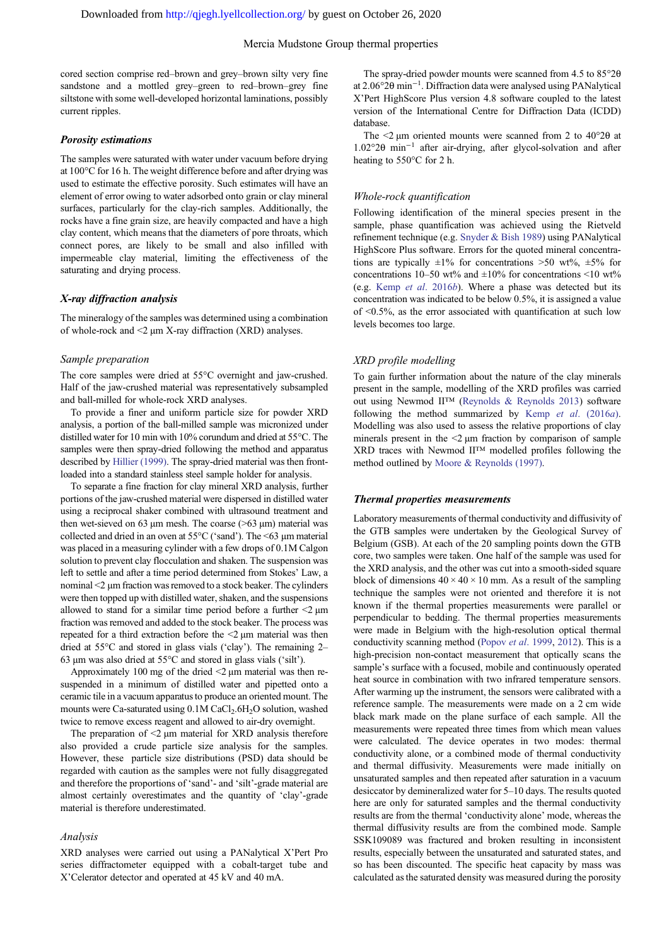cored section comprise red–brown and grey–brown silty very fine sandstone and a mottled grey–green to red–brown–grey fine siltstone with some well-developed horizontal laminations, possibly current ripples.

# Porosity estimations

The samples were saturated with water under vacuum before drying at 100°C for 16 h. The weight difference before and after drying was used to estimate the effective porosity. Such estimates will have an element of error owing to water adsorbed onto grain or clay mineral surfaces, particularly for the clay-rich samples. Additionally, the rocks have a fine grain size, are heavily compacted and have a high clay content, which means that the diameters of pore throats, which connect pores, are likely to be small and also infilled with impermeable clay material, limiting the effectiveness of the saturating and drying process.

#### X-ray diffraction analysis

The mineralogy of the samples was determined using a combination of whole-rock and <2 µm X-ray diffraction (XRD) analyses.

#### Sample preparation

The core samples were dried at 55°C overnight and jaw-crushed. Half of the jaw-crushed material was representatively subsampled and ball-milled for whole-rock XRD analyses.

To provide a finer and uniform particle size for powder XRD analysis, a portion of the ball-milled sample was micronized under distilled water for 10 min with 10% corundum and dried at 55°C. The samples were then spray-dried following the method and apparatus described by [Hillier \(1999\)](#page-9-0). The spray-dried material was then frontloaded into a standard stainless steel sample holder for analysis.

To separate a fine fraction for clay mineral XRD analysis, further portions of the jaw-crushed material were dispersed in distilled water using a reciprocal shaker combined with ultrasound treatment and then wet-sieved on 63  $\mu$ m mesh. The coarse (>63  $\mu$ m) material was collected and dried in an oven at  $55^{\circ}$ C ('sand'). The  $\leq 63$  µm material was placed in a measuring cylinder with a few drops of 0.1M Calgon solution to prevent clay flocculation and shaken. The suspension was left to settle and after a time period determined from Stokes' Law, a nominal <2 µm fraction was removed to a stock beaker. The cylinders were then topped up with distilled water, shaken, and the suspensions allowed to stand for a similar time period before a further  $\leq$   $\mu$ m fraction was removed and added to the stock beaker. The process was repeated for a third extraction before the <2 µm material was then dried at 55°C and stored in glass vials ('clay'). The remaining 2– 63 µm was also dried at 55°C and stored in glass vials ('silt').

Approximately 100 mg of the dried  $\leq$   $2 \mu$ m material was then resuspended in a minimum of distilled water and pipetted onto a ceramic tile in a vacuum apparatus to produce an oriented mount. The mounts were Ca-saturated using 0.1M CaCl<sub>2</sub>.6H<sub>2</sub>O solution, washed twice to remove excess reagent and allowed to air-dry overnight.

The preparation of  $\leq$   $\mu$ m material for XRD analysis therefore also provided a crude particle size analysis for the samples. However, these particle size distributions (PSD) data should be regarded with caution as the samples were not fully disaggregated and therefore the proportions of 'sand'- and 'silt'-grade material are almost certainly overestimates and the quantity of 'clay'-grade material is therefore underestimated.

## Analysis

XRD analyses were carried out using a PANalytical X'Pert Pro series diffractometer equipped with a cobalt-target tube and X'Celerator detector and operated at 45 kV and 40 mA.

The spray-dried powder mounts were scanned from 4.5 to 85°2θ at 2.06°2θ min−<sup>1</sup> . Diffraction data were analysed using PANalytical X'Pert HighScore Plus version 4.8 software coupled to the latest version of the International Centre for Diffraction Data (ICDD) database.

The  $\leq$  um oriented mounts were scanned from 2 to 40°20 at 1.02°2θ min−<sup>1</sup> after air-drying, after glycol-solvation and after heating to 550°C for 2 h.

#### Whole-rock quantification

Following identification of the mineral species present in the sample, phase quantification was achieved using the Rietveld refinement technique (e.g. [Snyder & Bish 1989\)](#page-9-0) using PANalytical HighScore Plus software. Errors for the quoted mineral concentrations are typically  $\pm 1\%$  for concentrations  $>50$  wt%,  $\pm 5\%$  for concentrations 10–50 wt% and  $\pm 10\%$  for concentrations <10 wt% (e.g. Kemp et al[. 2016](#page-9-0)b). Where a phase was detected but its concentration was indicated to be below 0.5%, it is assigned a value of <0.5%, as the error associated with quantification at such low levels becomes too large.

# XRD profile modelling

To gain further information about the nature of the clay minerals present in the sample, modelling of the XRD profiles was carried out using Newmod II™ ([Reynolds & Reynolds 2013\)](#page-9-0) software following the method summarized by Kemp et al[. \(2016](#page-9-0)a). Modelling was also used to assess the relative proportions of clay minerals present in the  $\leq$   $\mu$ m fraction by comparison of sample XRD traces with Newmod II™ modelled profiles following the method outlined by [Moore & Reynolds \(1997\).](#page-9-0)

# Thermal properties measurements

Laboratory measurements of thermal conductivity and diffusivity of the GTB samples were undertaken by the Geological Survey of Belgium (GSB). At each of the 20 sampling points down the GTB core, two samples were taken. One half of the sample was used for the XRD analysis, and the other was cut into a smooth-sided square block of dimensions  $40 \times 40 \times 10$  mm. As a result of the sampling technique the samples were not oriented and therefore it is not known if the thermal properties measurements were parallel or perpendicular to bedding. The thermal properties measurements were made in Belgium with the high-resolution optical thermal conductivity scanning method (Popov et al[. 1999,](#page-9-0) [2012](#page-9-0)). This is a high-precision non-contact measurement that optically scans the sample's surface with a focused, mobile and continuously operated heat source in combination with two infrared temperature sensors. After warming up the instrument, the sensors were calibrated with a reference sample. The measurements were made on a 2 cm wide black mark made on the plane surface of each sample. All the measurements were repeated three times from which mean values were calculated. The device operates in two modes: thermal conductivity alone, or a combined mode of thermal conductivity and thermal diffusivity. Measurements were made initially on unsaturated samples and then repeated after saturation in a vacuum desiccator by demineralized water for 5–10 days. The results quoted here are only for saturated samples and the thermal conductivity results are from the thermal 'conductivity alone' mode, whereas the thermal diffusivity results are from the combined mode. Sample SSK109089 was fractured and broken resulting in inconsistent results, especially between the unsaturated and saturated states, and so has been discounted. The specific heat capacity by mass was calculated as the saturated density was measured during the porosity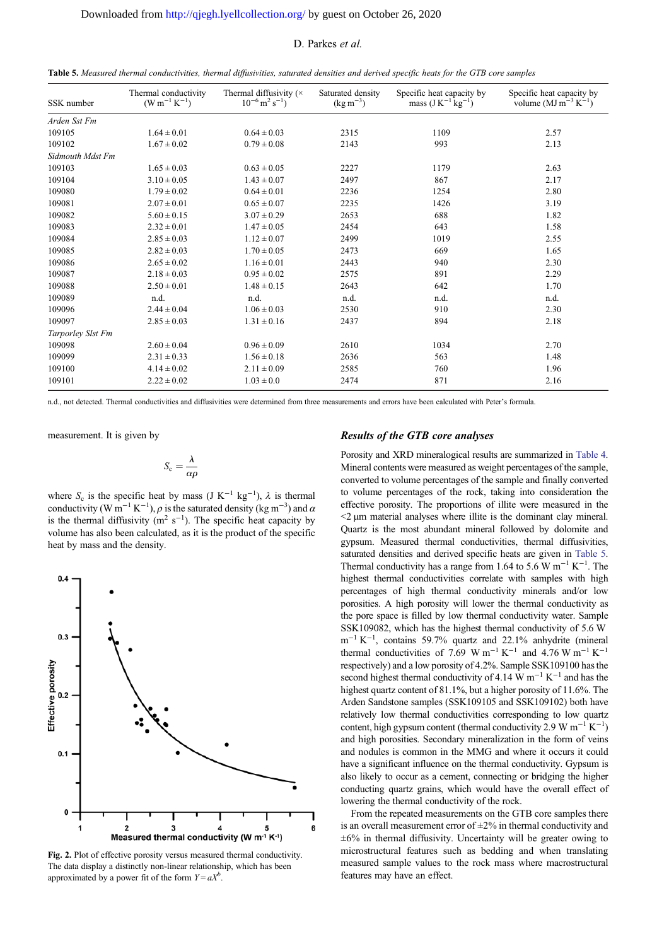<span id="page-5-0"></span>

| Table 5. Measured thermal conductivities, thermal diffusivities, saturated densities and derived specific heats for the GTB core samples |  |  |
|------------------------------------------------------------------------------------------------------------------------------------------|--|--|
|                                                                                                                                          |  |  |

| SSK number        | Thermal conductivity<br>$(W m^{-1} K^{-1})$ | Thermal diffusivity $(x)$<br>$10^{-6}$ m <sup>2</sup> s <sup>-1</sup> ) | Saturated density<br>$(\text{kg m}^{-3})$ | Specific heat capacity by<br>mass $(J K^{-1} kg^{-1})$ | Specific heat capacity by<br>volume $(MJ \text{ m}^{-3} \text{ K}^{-1})$ |
|-------------------|---------------------------------------------|-------------------------------------------------------------------------|-------------------------------------------|--------------------------------------------------------|--------------------------------------------------------------------------|
| Arden Sst Fm      |                                             |                                                                         |                                           |                                                        |                                                                          |
| 109105            | $1.64 \pm 0.01$                             | $0.64 \pm 0.03$                                                         | 2315                                      | 1109                                                   | 2.57                                                                     |
| 109102            | $1.67 \pm 0.02$                             | $0.79 \pm 0.08$                                                         | 2143                                      | 993                                                    | 2.13                                                                     |
| Sidmouth Mdst Fm  |                                             |                                                                         |                                           |                                                        |                                                                          |
| 109103            | $1.65 \pm 0.03$                             | $0.63 \pm 0.05$                                                         | 2227                                      | 1179                                                   | 2.63                                                                     |
| 109104            | $3.10 \pm 0.05$                             | $1.43 \pm 0.07$                                                         | 2497                                      | 867                                                    | 2.17                                                                     |
| 109080            | $1.79 \pm 0.02$                             | $0.64 \pm 0.01$                                                         | 2236                                      | 1254                                                   | 2.80                                                                     |
| 109081            | $2.07 \pm 0.01$                             | $0.65 \pm 0.07$                                                         | 2235                                      | 1426                                                   | 3.19                                                                     |
| 109082            | $5.60 \pm 0.15$                             | $3.07 \pm 0.29$                                                         | 2653                                      | 688                                                    | 1.82                                                                     |
| 109083            | $2.32 \pm 0.01$                             | $1.47 \pm 0.05$                                                         | 2454                                      | 643                                                    | 1.58                                                                     |
| 109084            | $2.85 \pm 0.03$                             | $1.12 \pm 0.07$                                                         | 2499                                      | 1019                                                   | 2.55                                                                     |
| 109085            | $2.82 \pm 0.03$                             | $1.70 \pm 0.05$                                                         | 2473                                      | 669                                                    | 1.65                                                                     |
| 109086            | $2.65 \pm 0.02$                             | $1.16 \pm 0.01$                                                         | 2443                                      | 940                                                    | 2.30                                                                     |
| 109087            | $2.18 \pm 0.03$                             | $0.95 \pm 0.02$                                                         | 2575                                      | 891                                                    | 2.29                                                                     |
| 109088            | $2.50 \pm 0.01$                             | $1.48 \pm 0.15$                                                         | 2643                                      | 642                                                    | 1.70                                                                     |
| 109089            | n.d.                                        | n.d.                                                                    | n.d.                                      | n.d.                                                   | n.d.                                                                     |
| 109096            | $2.44 \pm 0.04$                             | $1.06 \pm 0.03$                                                         | 2530                                      | 910                                                    | 2.30                                                                     |
| 109097            | $2.85 \pm 0.03$                             | $1.31 \pm 0.16$                                                         | 2437                                      | 894                                                    | 2.18                                                                     |
| Tarporley Slst Fm |                                             |                                                                         |                                           |                                                        |                                                                          |
| 109098            | $2.60 \pm 0.04$                             | $0.96 \pm 0.09$                                                         | 2610                                      | 1034                                                   | 2.70                                                                     |
| 109099            | $2.31 \pm 0.33$                             | $1.56 \pm 0.18$                                                         | 2636                                      | 563                                                    | 1.48                                                                     |
| 109100            | $4.14 \pm 0.02$                             | $2.11 \pm 0.09$                                                         | 2585                                      | 760                                                    | 1.96                                                                     |
| 109101            | $2.22 \pm 0.02$                             | $1.03 \pm 0.0$                                                          | 2474                                      | 871                                                    | 2.16                                                                     |

n.d., not detected. Thermal conductivities and diffusivities were determined from three measurements and errors have been calculated with Peter's formula.

measurement. It is given by

$$
S_{\rm c}=\frac{\lambda}{\alpha\rho}
$$

where  $S_c$  is the specific heat by mass (J K<sup>-1</sup> kg<sup>-1</sup>),  $\lambda$  is thermal conductivity (W m<sup>-1</sup> K<sup>-1</sup>),  $\rho$  is the saturated density (kg m<sup>-3</sup>) and  $\alpha$ is the thermal diffusivity ( $m^2$  s<sup>-1</sup>). The specific heat capacity by volume has also been calculated, as it is the product of the specific heat by mass and the density.



Fig. 2. Plot of effective porosity versus measured thermal conductivity. The data display a distinctly non-linear relationship, which has been approximated by a power fit of the form  $Y = aX^b$ .

# Results of the GTB core analyses

Porosity and XRD mineralogical results are summarized in [Table 4](#page-3-0). Mineral contents were measured as weight percentages of the sample, converted to volume percentages of the sample and finally converted to volume percentages of the rock, taking into consideration the effective porosity. The proportions of illite were measured in the  $\leq$   $2 \mu$ m material analyses where illite is the dominant clay mineral. Quartz is the most abundant mineral followed by dolomite and gypsum. Measured thermal conductivities, thermal diffusivities, saturated densities and derived specific heats are given in Table 5. Thermal conductivity has a range from 1.64 to 5.6 W m<sup>-1</sup> K<sup>-1</sup>. The highest thermal conductivities correlate with samples with high percentages of high thermal conductivity minerals and/or low porosities. A high porosity will lower the thermal conductivity as the pore space is filled by low thermal conductivity water. Sample SSK109082, which has the highest thermal conductivity of 5.6 W m<sup>-1</sup> K<sup>-1</sup>, contains 59.7% quartz and 22.1% anhydrite (mineral thermal conductivities of 7.69 W m<sup>-1</sup> K<sup>-1</sup> and 4.76 W m<sup>-1</sup> K<sup>-1</sup> respectively) and a low porosity of 4.2%. Sample SSK109100 has the second highest thermal conductivity of 4.14 W  $m^{-1} K^{-1}$  and has the highest quartz content of 81.1%, but a higher porosity of 11.6%. The Arden Sandstone samples (SSK109105 and SSK109102) both have relatively low thermal conductivities corresponding to low quartz content, high gypsum content (thermal conductivity 2.9 W m<sup>-1</sup> K<sup>-1</sup>) and high porosities. Secondary mineralization in the form of veins and nodules is common in the MMG and where it occurs it could have a significant influence on the thermal conductivity. Gypsum is also likely to occur as a cement, connecting or bridging the higher conducting quartz grains, which would have the overall effect of lowering the thermal conductivity of the rock.

From the repeated measurements on the GTB core samples there is an overall measurement error of  $\pm 2\%$  in thermal conductivity and  $\pm 6\%$  in thermal diffusivity. Uncertainty will be greater owing to microstructural features such as bedding and when translating measured sample values to the rock mass where macrostructural features may have an effect.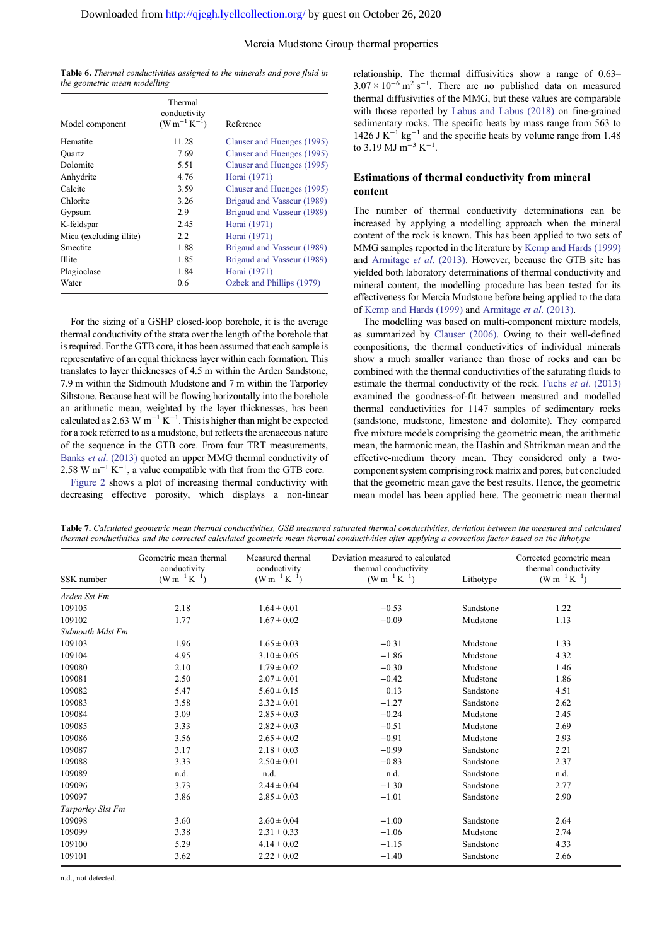<span id="page-6-0"></span>

| <b>Table 6.</b> Thermal conductivities assigned to the minerals and pore fluid in |  |  |
|-----------------------------------------------------------------------------------|--|--|
| the geometric mean modelling                                                      |  |  |

| Model component         | Thermal<br>conductivity<br>$(W m^{-1} K^{-1})$ | Reference                  |
|-------------------------|------------------------------------------------|----------------------------|
| Hematite                | 11.28                                          | Clauser and Huenges (1995) |
| <b>Ouartz</b>           | 7.69                                           | Clauser and Huenges (1995) |
| Dolomite                | 5.51                                           | Clauser and Huenges (1995) |
| Anhydrite               | 4.76                                           | Horai (1971)               |
| Calcite                 | 3.59                                           | Clauser and Huenges (1995) |
| Chlorite                | 3.26                                           | Brigaud and Vasseur (1989) |
| Gypsum                  | 2.9                                            | Brigaud and Vasseur (1989) |
| K-feldspar              | 2.45                                           | Horai (1971)               |
| Mica (excluding illite) | $2.2\,$                                        | Horai (1971)               |
| Smectite                | 1.88                                           | Brigaud and Vasseur (1989) |
| <b>Illite</b>           | 1.85                                           | Brigaud and Vasseur (1989) |
| Plagioclase             | 1.84                                           | Horai (1971)               |
| Water                   | 0.6                                            | Ozbek and Phillips (1979)  |

For the sizing of a GSHP closed-loop borehole, it is the average thermal conductivity of the strata over the length of the borehole that is required. For the GTB core, it has been assumed that each sample is representative of an equal thickness layer within each formation. This translates to layer thicknesses of 4.5 m within the Arden Sandstone, 7.9 m within the Sidmouth Mudstone and 7 m within the Tarporley Siltstone. Because heat will be flowing horizontally into the borehole an arithmetic mean, weighted by the layer thicknesses, has been calculated as 2.63 W m<sup>-1</sup> K<sup>-1</sup>. This is higher than might be expected for a rock referred to as a mudstone, but reflects the arenaceous nature of the sequence in the GTB core. From four TRT measurements, Banks et al[. \(2013\)](#page-9-0) quoted an upper MMG thermal conductivity of 2.58 W m<sup>-1</sup> K<sup>-1</sup>, a value compatible with that from the GTB core.

[Figure 2](#page-5-0) shows a plot of increasing thermal conductivity with decreasing effective porosity, which displays a non-linear relationship. The thermal diffusivities show a range of 0.63–  $3.07 \times 10^{-6}$  m<sup>2</sup> s<sup>-1</sup>. There are no published data on measured thermal diffusivities of the MMG, but these values are comparable with those reported by [Labus and Labus \(2018\)](#page-9-0) on fine-grained sedimentary rocks. The specific heats by mass range from 563 to 1426 J K<sup> $-1$ </sup> kg<sup> $-1$ </sup> and the specific heats by volume range from 1.48 to 3.19 MJ m<sup>-3</sup> K<sup>-1</sup>.

# Estimations of thermal conductivity from mineral content

The number of thermal conductivity determinations can be increased by applying a modelling approach when the mineral content of the rock is known. This has been applied to two sets of MMG samples reported in the literature by [Kemp and Hards \(1999\)](#page-9-0) and [Armitage](#page-9-0) et al. (2013). However, because the GTB site has yielded both laboratory determinations of thermal conductivity and mineral content, the modelling procedure has been tested for its effectiveness for Mercia Mudstone before being applied to the data of [Kemp and Hards \(1999\)](#page-9-0) and [Armitage](#page-9-0) et al. (2013).

The modelling was based on multi-component mixture models, as summarized by [Clauser \(2006\).](#page-9-0) Owing to their well-defined compositions, the thermal conductivities of individual minerals show a much smaller variance than those of rocks and can be combined with the thermal conductivities of the saturating fluids to estimate the thermal conductivity of the rock. Fuchs et al[. \(2013\)](#page-9-0) examined the goodness-of-fit between measured and modelled thermal conductivities for 1147 samples of sedimentary rocks (sandstone, mudstone, limestone and dolomite). They compared five mixture models comprising the geometric mean, the arithmetic mean, the harmonic mean, the Hashin and Shtrikman mean and the effective-medium theory mean. They considered only a twocomponent system comprising rock matrix and pores, but concluded that the geometric mean gave the best results. Hence, the geometric mean model has been applied here. The geometric mean thermal

Table 7. Calculated geometric mean thermal conductivities, GSB measured saturated thermal conductivities, deviation between the measured and calculated thermal conductivities and the corrected calculated geometric mean thermal conductivities after applying a correction factor based on the lithotype

| SSK number        | Geometric mean thermal<br>conductivity<br>$(W m^{-1} K^{-1})$ | Measured thermal<br>conductivity<br>$(W m^{-1} K^{-1})$ | Deviation measured to calculated<br>thermal conductivity<br>$(W m^{-1} K^{-1})$ | Lithotype | Corrected geometric mean<br>thermal conductivity<br>$(W m^{-1} K^{-1})$ |
|-------------------|---------------------------------------------------------------|---------------------------------------------------------|---------------------------------------------------------------------------------|-----------|-------------------------------------------------------------------------|
| Arden Sst Fm      |                                                               |                                                         |                                                                                 |           |                                                                         |
| 109105            | 2.18                                                          | $1.64 \pm 0.01$                                         | $-0.53$                                                                         | Sandstone | 1.22                                                                    |
| 109102            | 1.77                                                          | $1.67 \pm 0.02$                                         | $-0.09$                                                                         | Mudstone  | 1.13                                                                    |
| Sidmouth Mdst Fm  |                                                               |                                                         |                                                                                 |           |                                                                         |
| 109103            | 1.96                                                          | $1.65 \pm 0.03$                                         | $-0.31$                                                                         | Mudstone  | 1.33                                                                    |
| 109104            | 4.95                                                          | $3.10 \pm 0.05$                                         | $-1.86$                                                                         | Mudstone  | 4.32                                                                    |
| 109080            | 2.10                                                          | $1.79 \pm 0.02$                                         | $-0.30$                                                                         | Mudstone  | 1.46                                                                    |
| 109081            | 2.50                                                          | $2.07 \pm 0.01$                                         | $-0.42$                                                                         | Mudstone  | 1.86                                                                    |
| 109082            | 5.47                                                          | $5.60 \pm 0.15$                                         | 0.13                                                                            | Sandstone | 4.51                                                                    |
| 109083            | 3.58                                                          | $2.32 \pm 0.01$                                         | $-1.27$                                                                         | Sandstone | 2.62                                                                    |
| 109084            | 3.09                                                          | $2.85 \pm 0.03$                                         | $-0.24$                                                                         | Mudstone  | 2.45                                                                    |
| 109085            | 3.33                                                          | $2.82 \pm 0.03$                                         | $-0.51$                                                                         | Mudstone  | 2.69                                                                    |
| 109086            | 3.56                                                          | $2.65 \pm 0.02$                                         | $-0.91$                                                                         | Mudstone  | 2.93                                                                    |
| 109087            | 3.17                                                          | $2.18 \pm 0.03$                                         | $-0.99$                                                                         | Sandstone | 2.21                                                                    |
| 109088            | 3.33                                                          | $2.50 \pm 0.01$                                         | $-0.83$                                                                         | Sandstone | 2.37                                                                    |
| 109089            | n.d.                                                          | n.d.                                                    | n.d.                                                                            | Sandstone | n.d.                                                                    |
| 109096            | 3.73                                                          | $2.44 \pm 0.04$                                         | $-1.30$                                                                         | Sandstone | 2.77                                                                    |
| 109097            | 3.86                                                          | $2.85 \pm 0.03$                                         | $-1.01$                                                                         | Sandstone | 2.90                                                                    |
| Tarporley Slst Fm |                                                               |                                                         |                                                                                 |           |                                                                         |
| 109098            | 3.60                                                          | $2.60 \pm 0.04$                                         | $-1.00$                                                                         | Sandstone | 2.64                                                                    |
| 109099            | 3.38                                                          | $2.31 \pm 0.33$                                         | $-1.06$                                                                         | Mudstone  | 2.74                                                                    |
| 109100            | 5.29                                                          | $4.14 \pm 0.02$                                         | $-1.15$                                                                         | Sandstone | 4.33                                                                    |
| 109101            | 3.62                                                          | $2.22 \pm 0.02$                                         | $-1.40$                                                                         | Sandstone | 2.66                                                                    |

n.d., not detected.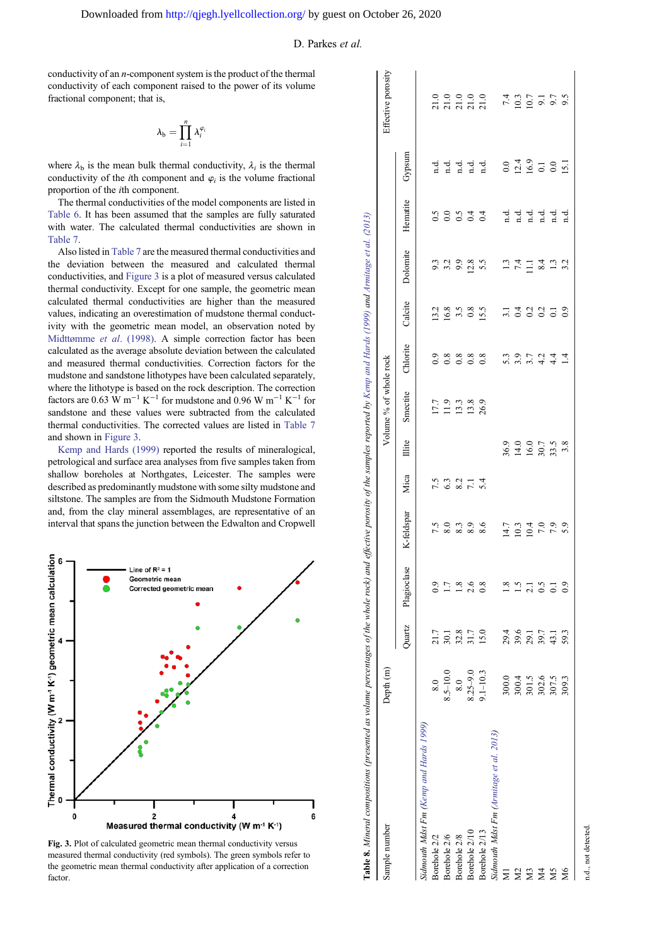<span id="page-7-0"></span>conductivity of an n-component system is the product of the thermal conductivity of each component raised to the power of its volume fractional component; that is,

$$
\lambda_{\mathrm{b}}=\prod_{i=1}^n\lambda_i^{\varphi_i}
$$

where  $\lambda_b$  is the mean bulk thermal conductivity,  $\lambda_i$  is the thermal conductivity of the *i*th component and  $\varphi_i$  is the volume fractional proportion of the ith component.

The thermal conductivities of the model components are listed in [Table 6](#page-6-0). It has been assumed that the samples are fully saturated with water. The calculated thermal conductivities are shown in [Table 7.](#page-6-0)

Also listed in [Table 7](#page-6-0) are the measured thermal conductivities and the deviation between the measured and calculated thermal conductivities, and Figure 3 is a plot of measured versus calculated thermal conductivity. Except for one sample, the geometric mean calculated thermal conductivities are higher than the measured values, indicating an overestimation of mudstone thermal conductivity with the geometric mean model, an observation noted by [Midttømme](#page-9-0) et al. (1998). A simple correction factor has been calculated as the average absolute deviation between the calculated and measured thermal conductivities. Correction factors for the mudstone and sandstone lithotypes have been calculated separately, where the lithotype is based on the rock description. The correction factors are 0.63 W m<sup>-1</sup> K<sup>-1</sup> for mudstone and 0.96 W m<sup>-1</sup> K<sup>-1</sup> for sandstone and these values were subtracted from the calculated thermal conductivities. The corrected values are listed in [Table 7](#page-6-0) and shown in Figure 3.

[Kemp and Hards \(1999\)](#page-9-0) reported the results of mineralogical, petrological and surface area analyses from five samples taken from shallow boreholes at Northgates, Leicester. The samples were described as predominantly mudstone with some silty mudstone and siltstone. The samples are from the Sidmouth Mudstone Formation and, from the clay mineral assemblages, are representative of an interval that spans the junction between the Edwalton and Cropwell



Fig. 3. Plot of calculated geometric mean thermal conductivity versus measured thermal conductivity (red symbols). The green symbols refer to the geometric mean thermal conductivity after application of a correction factor.

| Sample number                           | Depth <sub>(m)</sub> |                      |                  |              |                                  |                      | Volume % of whole rock                                              |                        |                                      |                             |             |                        | Effective porosity                               |
|-----------------------------------------|----------------------|----------------------|------------------|--------------|----------------------------------|----------------------|---------------------------------------------------------------------|------------------------|--------------------------------------|-----------------------------|-------------|------------------------|--------------------------------------------------|
|                                         |                      | Quartz               | Plagioclase      | K-feldspar   | Mica                             | <b>Illite</b>        | Smectite                                                            | Chlorite               | Calcite                              | Dolomite                    | Hematite    | Gypsum                 |                                                  |
| Sidmouth Mdst Fm (Kemp and Hards 1999)  |                      |                      |                  |              |                                  |                      |                                                                     |                        |                                      |                             |             |                        |                                                  |
| Borehole 2/2                            | 8.0                  | 21.7                 |                  |              |                                  |                      |                                                                     |                        |                                      |                             |             |                        |                                                  |
| Borehole 2/6                            | $8.5 - 10.0$         | 30.1                 | $\overline{1.7}$ |              | 7. 3. 3. 7. 4.<br>7. 3. 9. 7. 4. |                      | $\begin{array}{c} 17.7 \\ 11.9 \\ 13.3 \\ 13.8 \\ 26.9 \end{array}$ | 0.8888                 | $13.8$<br>$16.8$<br>$15.5$<br>$15.5$ | 3<br>3 3 3 8 9<br>9 1 9 2 9 | s<br>cococo | d d d d d<br>d d d d d | 0.0.0.0.0<br>ភគតិក្ត                             |
| Borehole 2/8                            | 8.0                  | 32.8<br>31.7<br>15.0 | 1.8              |              |                                  |                      |                                                                     |                        |                                      |                             |             |                        |                                                  |
| Borehole 2/10                           | $8.25 - 9.0$         |                      | 2.6              |              |                                  |                      |                                                                     |                        |                                      |                             |             |                        |                                                  |
| Borehole 2/13                           | $9.1 - 10.3$         |                      | $_{0.8}$         |              |                                  |                      |                                                                     |                        |                                      |                             |             |                        |                                                  |
| Sidmouth Mdst Fm (Armitage et al. 2013) |                      |                      |                  |              |                                  |                      |                                                                     |                        |                                      |                             |             |                        |                                                  |
|                                         | 300.0                |                      | 1.8              |              |                                  |                      |                                                                     |                        |                                      |                             |             |                        |                                                  |
|                                         | 300.4                | 29.4<br>39.6         | 1.5              | 14.7<br>10.3 |                                  | 36.9<br>14.0<br>16.0 |                                                                     | $5.\overline{3}$ , $9$ |                                      |                             |             | $0.0$<br>12.4<br>16.9  | $7.4$<br>10.3<br>10.7                            |
|                                         | $301.5$              | 29.1                 | 2.1              | 10.4         |                                  |                      |                                                                     | 3.7                    | $7.1$<br>$0.2$<br>$0.2$              | $\frac{13}{7.4}$            |             |                        |                                                  |
|                                         | 302.6                | 39.7                 | 0.5              | 7.0          |                                  | 30.7                 |                                                                     | $4.4 + 4.4$            |                                      |                             |             | $\Xi$                  |                                                  |
|                                         | 307.5                | 43.1                 | $\overline{0}$ . | 7.9          |                                  |                      |                                                                     |                        | 0.1                                  | $\frac{4}{3}$ 3.2           |             | 0.0                    | $\begin{array}{c} 0.1 \\ 0.5 \\ 0.6 \end{array}$ |
| М <sub>6</sub>                          | 309.3                | 59.3                 |                  | 5.9          |                                  |                      |                                                                     | $\overline{14}$        | $_{0.9}$                             |                             |             | $\overline{15}$        |                                                  |
|                                         |                      |                      |                  |              |                                  |                      |                                                                     |                        |                                      |                             |             |                        |                                                  |

Š  $\ddot{\phantom{a}}$ ś n.d., not detected.

not detected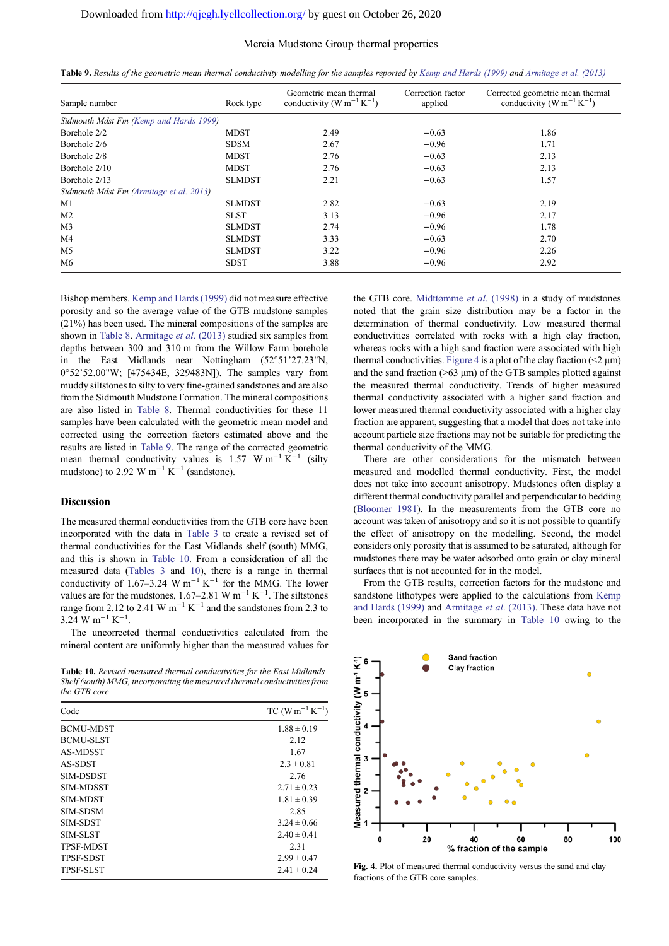# Mercia Mudstone Group thermal properties

| Table 9. Results of the geometric mean thermal conductivity modelling for the samples reported by Kemp and Hards (1999) and Armitage et al. (2013) |  |  |  |  |
|----------------------------------------------------------------------------------------------------------------------------------------------------|--|--|--|--|
|----------------------------------------------------------------------------------------------------------------------------------------------------|--|--|--|--|

| Sample number                           | Rock type     | Geometric mean thermal<br>conductivity (W m <sup>-1</sup> K <sup>-1</sup> ) | Correction factor<br>applied | Corrected geometric mean thermal<br>conductivity (W m <sup>-1</sup> K <sup>-1</sup> ) |
|-----------------------------------------|---------------|-----------------------------------------------------------------------------|------------------------------|---------------------------------------------------------------------------------------|
| Sidmouth Mdst Fm (Kemp and Hards 1999)  |               |                                                                             |                              |                                                                                       |
| Borehole 2/2                            | <b>MDST</b>   | 2.49                                                                        | $-0.63$                      | 1.86                                                                                  |
| Borehole 2/6                            | <b>SDSM</b>   | 2.67                                                                        | $-0.96$                      | 1.71                                                                                  |
| Borehole 2/8                            | <b>MDST</b>   | 2.76                                                                        | $-0.63$                      | 2.13                                                                                  |
| Borehole 2/10                           | <b>MDST</b>   | 2.76                                                                        | $-0.63$                      | 2.13                                                                                  |
| Borehole 2/13                           | <b>SLMDST</b> | 2.21                                                                        | $-0.63$                      | 1.57                                                                                  |
| Sidmouth Mdst Fm (Armitage et al. 2013) |               |                                                                             |                              |                                                                                       |
| M1                                      | <b>SLMDST</b> | 2.82                                                                        | $-0.63$                      | 2.19                                                                                  |
| M <sub>2</sub>                          | <b>SLST</b>   | 3.13                                                                        | $-0.96$                      | 2.17                                                                                  |
| M <sub>3</sub>                          | <b>SLMDST</b> | 2.74                                                                        | $-0.96$                      | 1.78                                                                                  |
| M4                                      | <b>SLMDST</b> | 3.33                                                                        | $-0.63$                      | 2.70                                                                                  |
| M <sub>5</sub>                          | <b>SLMDST</b> | 3.22                                                                        | $-0.96$                      | 2.26                                                                                  |
| M6                                      | <b>SDST</b>   | 3.88                                                                        | $-0.96$                      | 2.92                                                                                  |

Bishop members. [Kemp and Hards \(1999\)](#page-9-0) did not measure effective porosity and so the average value of the GTB mudstone samples (21%) has been used. The mineral compositions of the samples are shown in [Table 8.](#page-7-0) [Armitage](#page-9-0) et al. (2013) studied six samples from depths between 300 and 310 m from the Willow Farm borehole in the East Midlands near Nottingham (52°51'27.23"N, 0°52'52.00"W; [475434E, 329483N]). The samples vary from muddy siltstones to silty to very fine-grained sandstones and are also from the Sidmouth Mudstone Formation. The mineral compositions are also listed in [Table 8.](#page-7-0) Thermal conductivities for these 11 samples have been calculated with the geometric mean model and corrected using the correction factors estimated above and the results are listed in Table 9. The range of the corrected geometric mean thermal conductivity values is 1.57 W m<sup>-1</sup> K<sup>-1</sup> (silty mudstone) to 2.92 W m<sup>-1</sup> K<sup>-1</sup> (sandstone).

# Discussion

The measured thermal conductivities from the GTB core have been incorporated with the data in [Table 3](#page-2-0) to create a revised set of thermal conductivities for the East Midlands shelf (south) MMG, and this is shown in Table 10. From a consideration of all the measured data ([Tables 3](#page-2-0) and 10), there is a range in thermal conductivity of 1.67–3.24 W m<sup>-1</sup> K<sup>-1</sup> for the MMG. The lower values are for the mudstones, 1.67–2.81 W m<sup>-1</sup> K<sup>-1</sup>. The siltstones range from 2.12 to 2.41 W  $m^{-1} K^{-1}$  and the sandstones from 2.3 to  $3.24$  W m<sup>-1</sup> K<sup>-1</sup>.

The uncorrected thermal conductivities calculated from the mineral content are uniformly higher than the measured values for

Table 10. Revised measured thermal conductivities for the East Midlands Shelf (south) MMG, incorporating the measured thermal conductivities from the GTB core

| Code             | $TC (W m^{-1} K^{-1})$ |
|------------------|------------------------|
| <b>BCMU-MDST</b> | $1.88 \pm 0.19$        |
| <b>BCMU-SLST</b> | 2.12                   |
| AS-MDSST         | 1.67                   |
| AS-SDST          | $2.3 \pm 0.81$         |
| SIM-DSDST        | 2.76                   |
| <b>SIM-MDSST</b> | $2.71 \pm 0.23$        |
| <b>SIM-MDST</b>  | $1.81 \pm 0.39$        |
| <b>SIM-SDSM</b>  | 2.85                   |
| <b>SIM-SDST</b>  | $3.24 \pm 0.66$        |
| <b>SIM-SLST</b>  | $2.40 \pm 0.41$        |
| <b>TPSF-MDST</b> | 2.31                   |
| <b>TPSF-SDST</b> | $2.99 \pm 0.47$        |
| <b>TPSF-SLST</b> | $2.41 \pm 0.24$        |
|                  |                        |

the GTB core. [Midttømme](#page-9-0) et al. (1998) in a study of mudstones noted that the grain size distribution may be a factor in the determination of thermal conductivity. Low measured thermal conductivities correlated with rocks with a high clay fraction, whereas rocks with a high sand fraction were associated with high thermal conductivities. Figure 4 is a plot of the clay fraction  $(\leq 2 \mu m)$ and the sand fraction  $(>63 \mu m)$  of the GTB samples plotted against the measured thermal conductivity. Trends of higher measured thermal conductivity associated with a higher sand fraction and lower measured thermal conductivity associated with a higher clay fraction are apparent, suggesting that a model that does not take into account particle size fractions may not be suitable for predicting the thermal conductivity of the MMG.

There are other considerations for the mismatch between measured and modelled thermal conductivity. First, the model does not take into account anisotropy. Mudstones often display a different thermal conductivity parallel and perpendicular to bedding ([Bloomer 1981](#page-9-0)). In the measurements from the GTB core no account was taken of anisotropy and so it is not possible to quantify the effect of anisotropy on the modelling. Second, the model considers only porosity that is assumed to be saturated, although for mudstones there may be water adsorbed onto grain or clay mineral surfaces that is not accounted for in the model.

From the GTB results, correction factors for the mudstone and sandstone lithotypes were applied to the calculations from [Kemp](#page-9-0) [and Hards \(1999\)](#page-9-0) and [Armitage](#page-9-0) et al. (2013). These data have not been incorporated in the summary in Table 10 owing to the



Fig. 4. Plot of measured thermal conductivity versus the sand and clay fractions of the GTB core samples.